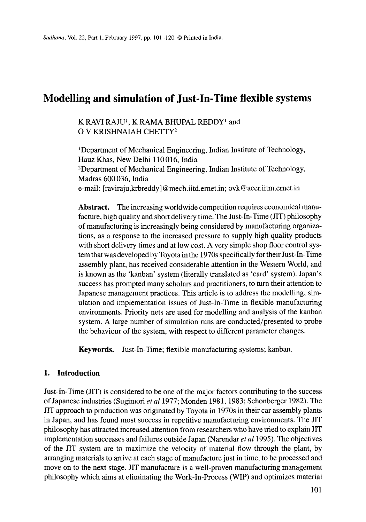# **Modelling and simulation of Just-In-Time flexible systems**

### K RAVI RAJU<sup>1</sup>, K RAMA BHUPAL REDDY<sup>1</sup> and O V KRISHNAIAH CHETTY<sup>2</sup>

<sup>1</sup>Department of Mechanical Engineering, Indian Institute of Technology, Hauz Khas, New Delhi 110 016, India 2Department of Mechanical Engineering, Indian Institute of Technology, Madras 600 036, India e-mail: [raviraju,krbreddy] @mech.iitd.ernet.in; ovk@acer.iitm.ernet.in

Abstract. The increasing worldwide competition requires economical manufacture, high quality and short delivery time. The Just-In-Time (JIT) philosophy of manufacturing is increasingly being considered by manufacturing organizations, as a response to the increased pressure to supply high quality products with short delivery times and at low cost. A very simple shop floor control system that was developed by Toyota in the 1970s specifically for their Just-In-Time assembly plant, has received considerable attention in the Western World, and is known as the 'kanban' system (literally translated as 'card' system). Japan's success has prompted many scholars and practitioners, to turn their attention to Japanese management practices. This article is to address the modelling, simulation and implementation issues of Just-In-Time in flexible manufacturing environments. Priority nets are used for modelling and analysis of the kanban system. A large number of simulation runs are conducted/presented to probe the behaviour of the system, with respect to different parameter changes.

**Keywords.** Just-In-Time; flexible manufacturing systems; kanban.

### **1. Introduction**

Just-In-Time (JIT) is considered to be one of the major factors contributing to the success of Japanese industries (Sugimori *et al* 1977; Monden 1981, 1983; Schonberger 1982). The JIT approach to production was originated by Toyota in 1970s in their car assembly plants in Japan, and has found most success in repetitive manufacturing environments. The JIT philosophy has attracted increased attention from researchers who have tried to explain JIT implementation successes and failures outside Japan (Narendar *et al* 1995). The objectives of the JIT system are to maximize the velocity of material flow through the plant, by arranging materials to arrive at each stage of manufacture just in time, to be processed and move on to the next stage. JIT manufacture is a well-proven manufacturing management philosophy which aims at eliminating the Work-In-Process (WIP) and optimizes material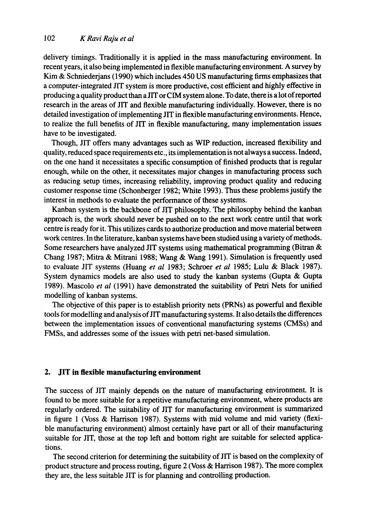delivery timings. Traditionally it is applied in the mass manufacturing environment. In recent years, it also being implemented in flexible manufacturing environment. A survey by Kim & Schniederjans (1990) which includes 450 US manufacturing firms emphasizes that a computer-integrated JIT system is more productive, cost efficient and highly effective in producing a quality product than a J1T or CIM system alone. To date, there is a lot of reported research in the areas of JIT and flexible manufacturing individually. However, there is no detailed investigation of implementing JIT in flexible manufacturing environments. Hence, to realize the full benefits of Jrr in flexible manufacturing, many implementation issues have to be investigated.

Though, JIT offers many advantages such as WIP reduction, increased flexibility and quality, reduced space requirements etc., its implementation is not always a success. Indeed, on the one hand it necessitates a specific consumption of finished products that is regular enough, while on the other, it necessitates major changes in manufacturing process such as reducing setup times, increasing reliability, improving product quality and reducing customer response time (Schonberger 1982; White 1993). Thus these problems justify the interest in methods to evaluate the performance of these systems.

Kanban system is the backbone of JIT philosophy. The philosophy behind the kanban approach is, the work should never be pushed on to the next work centre until that work centre is ready for it. This utilizes cards to authorize production and move material between work centres. In the literature, kanban systems have been studied using a variety of methods. Some researchers have analyzed JIT systems using mathematical programming (Bitran & Chang 1987; Mitra & Mitrani 1988; Wang & Wang 1991). Simulation is frequently used to evaluate JIT systems (Huang *et al* 1983; Schroer *et al* 1985; Lulu & Black 1987). System dynamics models are also used to study the kanban systems (Gupta & Gupta 1989). Mascolo *et al* (1991) have demonstrated the suitability of Petri Nets for unified modelling of kanban systems.

The objective of this paper is to establish priority nets (PRNs) as powerful and flexible tools for modelling and analysis of JIT manufacturing systems. It also details the differences between the implementation issues of conventional manufacturing systems (CMSs) and FMSs, and addresses some of the issues with petri net-based simulation.

#### 2. JIT in flexible manufacturing environment

The success of JIT mainly depends on the nature of manufacturing environment. It is found to be more suitable for a repetitive manufacturing environment, where products are regularly ordered. The suitability of JIT for manufacturing environment is summarized in figure 1 (Voss & Harrison 1987). Systems with mid volume and mid variety (flexible manufacturing environment) almost certainly have part or all of their manufacturing suitable for JIT, those at the top left and bottom right are suitable for selected applications.

The second criterion for determining the suitability of JIT is based on the complexity of product structure and process routing, figure 2 (Voss & Harrison 1987). The more complex they are, the less suitable JIT is for planning and controlling production.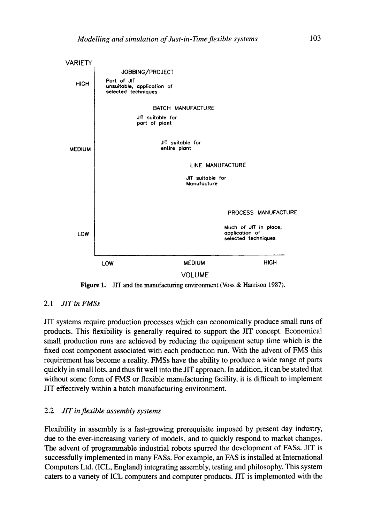

Figure 1. JIT and the manufacturing environment (Voss & Harrison 1987).

### 2.1 *JIT in FMSs*

JIT systems require production processes which can economically produce small runs of products. This flexibility is generally required to support the JIT concept. Economical small production runs are achieved by reducing the equipment setup time which is the fixed cost component associated with each production run. With the advent of FMS this requirement has become a reality. FMSs have the ability to produce a wide range of parts quickly in small lots, and thus fit well into the JIT approach. In addition, it can be stated that without some form of FMS or flexible manufacturing facility, it is difficult to implement J1T effectively within a batch manufacturing environment.

### 2.2 *JIT inflexible assembly systems*

Flexibility in assembly is a fast-growing prerequisite imposed by present day industry, due to the ever-increasing variety of models, and to quickly respond to market changes. The advent of programmable industrial robots spurred the development of FASs. JIT is successfully implemented in many FASs. For example, an FAS is installed at International Computers Ltd. (ICL, England) integrating assembly, testing and philosophy. This system caters to a variety of ICL computers and computer products. JIT is implemented with the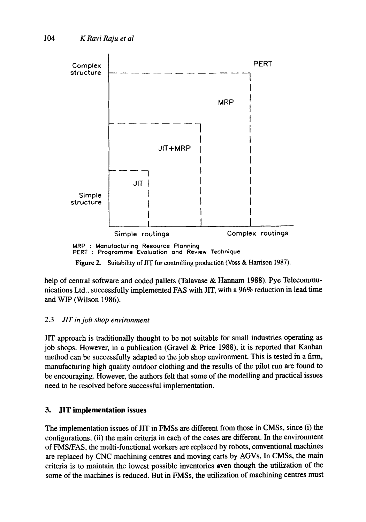

help of central software and coded pallets (Talavase & Hannam 1988). Pye Telecommunications Ltd., successfully implemented FAS with JIT, with a 96% reduction in lead time and WIP (Wilson 1986).

### 2.3 *JIT in job shop environment*

JIT approach is traditionally thought to be not suitable for small industries operating as job shops. However, in a publication (Gravel & Price 1988), it is reported that Kanban method can be successfully adapted to the job shop environment. This is tested in a finn, manufacturing high quality outdoor clothing and the results of the pilot run are found to be encouraging. However, the authors felt that some of the modelling and practical issues need to be resolved before successful implementation.

## **3. JIT implementation issues**

The implementation issues of JIT in FMSs are different from those in CMSs, since (i) the configurations, (ii) the main criteria in each of the cases are different. In the environment of FMS/FAS, the multi-functional workers are replaced by robots, conventional machines are replaced by CNC machining centres and moving carts by AGVs. In CMSs, the main criteria is to maintain the lowest possible inventories oven though the utilization of the some of the machines is reduced. But in FMSs, the utilization of machining centres must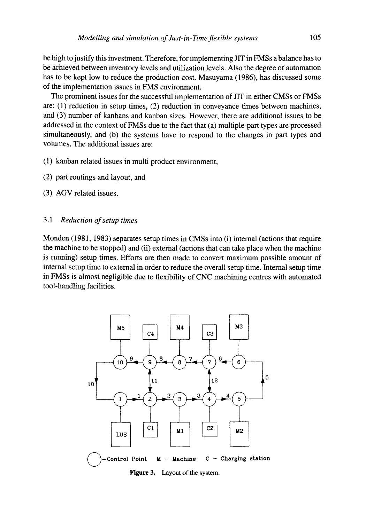be high to justify this investment. Therefore, for implementing JIT in FMSs a balance has to be achieved between inventory levels and utilization levels. Also the degree of automation has to be kept low to reduce the production cost. Masuyama (1986), has discussed some of the implementation issues in FMS environment.

The prominent issues for the successful implementation of JIT in either CMSs or FMSs are: (1) reduction in setup times, (2) reduction in conveyance times between machines, and (3) number of kanbans and kanban sizes. However, there are additional issues to be addressed in the context of FMSs due to the fact that (a) multiple-part types are processed simultaneously, and (b) the systems have to respond to the changes in part types and volumes. The additional issues are:

- (1) kanban related issues in multi product environment,
- (2) part routings and layout, and
- (3) AGV related issues.

#### *3.1 Reduction of setup times*

Monden (1981, 1983) separates setup times in CMSs into (i) internal (actions that require the machine to be stopped) and (ii) external (actions that can take place when the machine is running) setup times. Efforts are then made to convert maximum possible amount of internal setup time to external in order to reduce the overall setup time. Internal setup time in FMSs is almost negligible due to flexibility of CNC machining centres with automated tool-handling facilities.



**Figure 3.**  Layout of the system.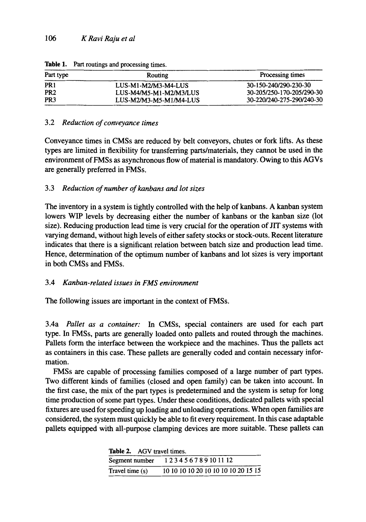| Part type       | Routing                | Processing times          |  |
|-----------------|------------------------|---------------------------|--|
| PR <sub>1</sub> | LUS-M1-M2/M3-M4-LUS    | 30-150-240/290-230-30     |  |
| PR <sub>2</sub> | LUS-M4/M5-M1-M2/M3/LUS | 30-205/250-170-205/290-30 |  |
| PR <sub>3</sub> | LUS-M2/M3-M5-M1/M4-LUS | 30-220/240-275-290/240-30 |  |

**Table** 1. Part routings and processing times.

### 3.2 *Reduction of conveyance times*

Conveyance times in CMSs are reduced by belt conveyors, chutes or fork lifts. As these types are limited in flexibility for transferring parts/materials, they cannot be used in the environment of FMSs as asynchronous flow of material is mandatory. Owing to this AGVs are generally preferred in FMSs.

### 3.3 *Reduction of number of kanbans and lot sizes*

The inventory in a system is tightly controlled with the help of kanbans. A kanban system lowers WIP levels by decreasing either the number of kanbans or the kanban size (lot size). Reducing production lead time is very crucial for the operation of JIT systems with varying demand, without high levels of either safety stocks or stock-outs. Recent literature indicates that there is a significant relation between batch size and production lead time. Hence, determination of the optimum number of kanbans and lot sizes is very important in both CMSs and FMSs.

### 3.4 *Kanban-related issues in FMS environment*

The following issues are important in the context of FMSs.

3.4a *Pallet as a container:* In CMSs, special containers are used for each part type. In FMSs, parts are generally loaded onto pallets and routed through the machines. Pallets form the interface between the workpiece and the machines. Thus the pallets act as containers in this case. These pallets are generally coded and contain necessary information.

FMSs are capable of processing families composed of a large number of part types. Two different kinds of families (closed and open family) can be taken into account. In the first case, the mix of the part types is predetermined and the system is setup for long time production of some part types. Under these conditions, dedicated pallets with special fixtures are used for speeding up loading and unloading operations. When open families are considered, the system must quickly be able to fit every requirement. In this case adaptable pallets equipped with all-purpose clamping devices are more suitable. These pallets can

| <b>Table 2.</b> AGV travel times. |                                     |  |  |  |  |
|-----------------------------------|-------------------------------------|--|--|--|--|
| Segment number                    | 123456789101112                     |  |  |  |  |
| Travel time (s)                   | 10 10 10 10 20 10 10 10 10 20 15 15 |  |  |  |  |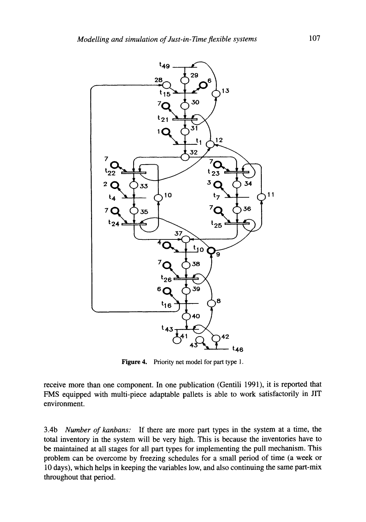

Figure 4. Priority net model for part type 1.

receive more than one component. In one publication (Gentili 1991), it is reported that FMS equipped with multi-piece adaptable pallets is able to work satisfactorily in JIT environment.

3.4b *Number of kanbans:* If there are more part types in the system at a time, the total inventory in the system will be very high. This is because the inventories have to be maintained at all stages for all part types for implementing the pull mechanism. This problem can be overcome by freezing schedules for a small period of time (a week or 10 days), which helps in keeping the variables low, and also continuing the same part-mix throughout that period.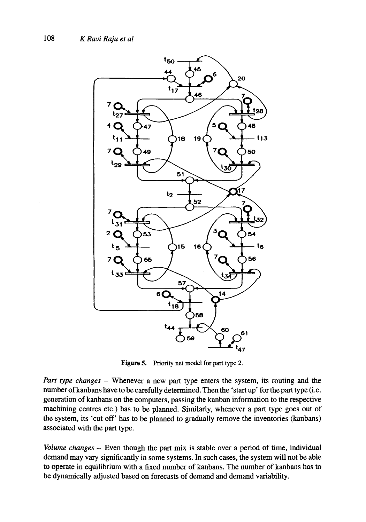

**Figure 5.** Priority net model for part type 2.

*Part type changes -* Whenever a new part type enters the system, its routing and the number of kanbans have to be carefully determined. Then the 'start up' for the part type (i.e. generation of kanbans on the computers, passing the kanban information to the respective machining centres etc.) has to be planned. Similarly, whenever a part type goes out of the system, its 'cut off' has to be planned to gradually remove the inventories (kanbans) associated with the part type.

*Volume changes -* Even though the part mix is stable over a period of time, individual demand may vary significantly in some systems. In such cases, the system will not be able to operate in equilibrium with a fixed number of kanbans. The number of kanbans has to be dynamically adjusted based on forecasts of demand and demand variability.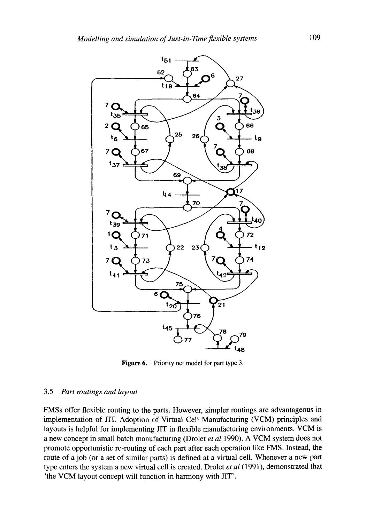

**Figure 6.** Priority net model for part type 3.

#### 3.5 *Part routings and layout*

FMSs offer flexible routing to the parts. However, simpler routings are advantageous in implementation of JIT. Adoption of Virtual Cell Manufacturing (VCM) principles and layouts is helpful for implementing JIT in flexible manufacturing environments. VCM is a new concept in small batch manufacturing (Drolet *et al* 1990). A VCM system does not promote opportunistic re-routing of each part after each operation like FMS. Instead, the route of a job (or a set of similar parts) is defined at a virtual cell. Whenever a new part type enters the system a new virtual cell is created. Drolet *et al* (1991), demonstrated that 'the VCM layout concept will function in harmony with JIT'.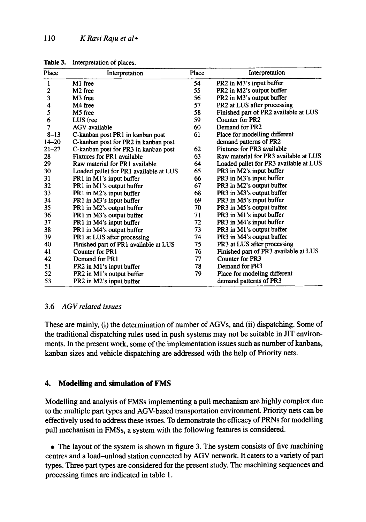| Place          | Interpretation                         | Place | Interpretation                         |
|----------------|----------------------------------------|-------|----------------------------------------|
| $\mathbf{1}$   | M1 free                                | 54    | PR2 in M3's input buffer               |
| $\overline{c}$ | M <sub>2</sub> free                    | 55    | PR2 in M2's output buffer              |
| 3              | M <sub>3</sub> free                    | 56    | PR2 in M3's output buffer              |
| 4              | M4 free                                | 57    | PR2 at LUS after processing            |
| 5              | M5 free                                | 58    | Finished part of PR2 available at LUS  |
| 6              | LUS free                               | 59    | Counter for PR2                        |
| 7              | AGV available                          | 60    | Demand for PR2                         |
| $8 - 13$       | C-kanban post PR1 in kanban post       | 61    | Place for modelling different          |
| $14 - 20$      | C-kanban post for PR2 in kanban post   |       | demand patterns of PR2                 |
| $21 - 27$      | C-kanban post for PR3 in kanban post   | 62    | Fixtures for PR3 available             |
| 28             | Fixtures for PR1 available             | 63    | Raw material for PR3 available at LUS  |
| 29             | Raw material for PR1 available         | 64    | Loaded pallet for PR3 available at LUS |
| 30             | Loaded pallet for PR1 available at LUS | 65    | PR3 in M2's input buffer               |
| 31             | PR1 in M1's input buffer               | 66    | PR3 in M3's input buffer               |
| 32             | PR1 in M1's output buffer              | 67    | PR3 in M2's output buffer              |
| 33             | PR1 in M2's input buffer               | 68    | PR3 in M3's output buffer              |
| 34             | PR1 in M3's input buffer               | 69    | PR3 in M5's input buffer               |
| 35             | PR1 in M2's output buffer              | 70    | PR3 in M5's output buffer              |
| 36             | PR1 in M3's output buffer              | 71    | PR3 in M1's input buffer               |
| 37             | PR1 in M4's input buffer               | 72    | PR3 in M4's input buffer               |
| 38             | PR1 in M4's output buffer              | 73    | PR3 in M1's output buffer              |
| 39             | PR1 at LUS after processing            | 74    | PR3 in M4's output buffer              |
| 40             | Finished part of PR1 available at LUS  | 75    | PR3 at LUS after processing            |
| 41             | Counter for PR1                        | 76    | Finished part of PR3 available at LUS  |
| 42             | Demand for PR1                         | 77    | Counter for PR3                        |
| 51             | PR2 in M1's input buffer               | 78    | Demand for PR3                         |
| 52             | PR2 in M1's output buffer              | 79    | Place for modeling different           |
| 53             | PR2 in M2's input buffer               |       | demand patterns of PR3                 |

Table 3. Interpretation of places.

### 3.6 *AGV related issues*

These are mainly, (i) the determination of number of AGVs, and (ii) dispatching. Some of the traditional dispatching rules used in push systems may not be suitable in JIT environments. In the present work, some of the implementation issues such as number of kanbans, kanban sizes and vehicle dispatching are addressed with the help of Priority nets.

### **4. Modelling and simulation of FMS**

Modelling and analysis of FMSs implementing a pull mechanism are highly complex due to the multiple part types and AGV-based transportation environment. Priority nets can be effectively used to address these issues. To demonstrate the efficacy of PRNs for modelling pull mechanism in FMSs, a system with the following features is considered.

• The layout of the system is shown in figure 3. The system consists of five machining centres and a load-unload station connected by AGV network. It caters to a variety of part types. Three part types are considered for the present study. The machining sequences and processing times are indicated in table 1.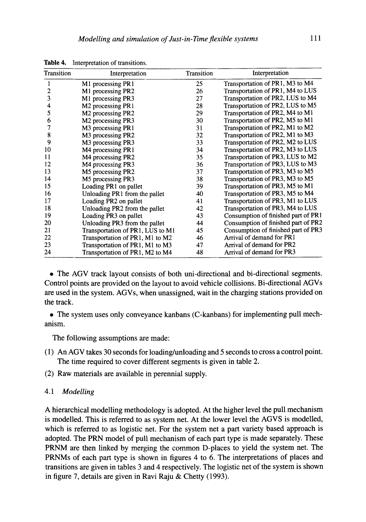| Transition | Interpretation                            | Transition | Interpretation                      |
|------------|-------------------------------------------|------------|-------------------------------------|
|            | M1 processing PR1                         | 25         | Transportation of PR1, M3 to M4     |
| 2          | M1 processing PR2                         | 26         | Transportation of PR1, M4 to LUS    |
| 3          | M1 processing PR3                         | 27         | Transportation of PR2, LUS to M4    |
| 4          | M2 processing PR1                         | 28         | Transportation of PR2, LUS to M5    |
| 5          | M2 processing PR2                         | 29         | Transportation of PR2, M4 to M1     |
| 6          | M2 processing PR3                         | 30         | Transportation of PR2, M5 to M1     |
| 7          | M3 processing PR1                         | 31         | Transportation of PR2, M1 to M2     |
| 8          | M3 processing PR2                         | 32         | Transportation of PR2, M1 to M3     |
| 9          | M <sub>3</sub> processing PR <sub>3</sub> | 33         | Transportation of PR2, M2 to LUS    |
| 10         | M4 processing PR1                         | 34         | Transportation of PR2, M3 to LUS    |
| 11         | M4 processing PR2                         | 35         | Transportation of PR3, LUS to M2    |
| 12         | M4 processing PR3                         | 36         | Transportation of PR3, LUS to M3    |
| 13         | M5 processing PR2                         | 37         | Transportation of PR3, M3 to M5     |
| 14         | M5 processing PR3                         | 38         | Transportation of PR3, M3 to M5     |
| 15         | Loading PR1 on pallet                     | 39         | Transportation of PR3, M5 to M1     |
| 16         | Unloading PR1 from the pallet             | 40         | Transportation of PR3, M5 to M4     |
| 17         | Loading PR2 on pallet                     | 41         | Transportation of PR3, M1 to LUS    |
| 18         | Unloading PR2 from the pallet             | 42         | Transportation of PR3, M4 to LUS    |
| 19         | Loading PR3 on pallet                     | 43         | Consumption of finished part of PR1 |
| 20         | Unloading PR3 from the pallet             | 44         | Consumption of finished part of PR2 |
| 21         | Transportation of PR1, LUS to M1          | 45         | Consumption of finished part of PR3 |
| 22         | Transportation of PR1, M1 to M2           | 46         | Arrival of demand for PR1           |
| 23         | Transportation of PR1, M1 to M3           | 47         | Arrival of demand for PR2           |
| 24         | Transportation of PR1, M2 to M4           | 48         | Arrival of demand for PR3           |

Table 4. Interpretation of transitions.

• The AGV track layout consists of both uni-directional and bi-directional segments. Control points are provided on the layout to avoid vehicle collisions. Bi-directional AGVs are used in the system. AGVs, when unassigned, wait in the charging stations provided on the track.

• The system uses only conveyance kanbans (C-kanbans) for implementing pull mechanism.

The following assumptions are made:

- (1) An AGV takes 30 seconds for loading/unloading and 5 seconds to cross a control point. The time required to cover different segments is given in table 2.
- (2) Raw materials are available in perennial supply.

#### *4.1 Modelling*

A hierarchical modelling methodology is adopted. At the higher level the pull mechanism is modelled. This is referred to as system net. At the lower level the AGVS is modelled, which is referred to as logistic net. For the system net a part variety based approach is adopted. The PRN model of pull mechanism of each part type is made separately. These PRNM are then linked by merging the common D-places to yield the system net. The PRNMs of each part type is shown in figures 4 to 6. The interpretations of places and transitions are given in tables 3 and 4 respectively. The logistic net of the system is shown in figure 7, details are given in Ravi Raju & Chetty (1993).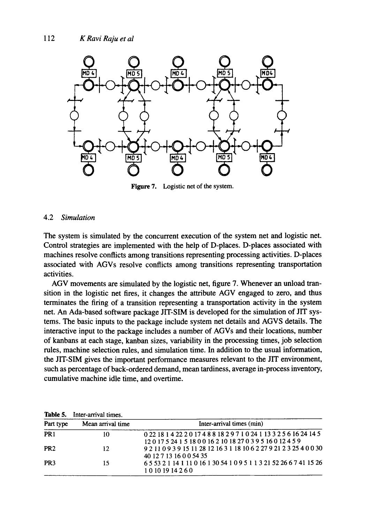

Figure 7. Logistic net of the system.

#### 4.2 *Simulation*

The system is simulated by the concurrent execution of the system net and logistic net. Control strategies are implemented with the help of D-places. D-places associated with machines resolve conflicts among transitions representing processing activities. D-places associated with AGVs resolve conflicts among transitions representing transportation activities.

AGV movements are simulated by the logistic net, figure 7. Whenever an unload transition in the logistic net fires, it changes the attribute AGV engaged to zero, and thus terminates the firing of a transition representing a transportation activity in the system net. An Ada-based software package JIT-SIM is developed for the simulation of JIT systems. The basic inputs to the package include system net details and AGVS details. The interactive input to the package includes a number of AGVs and their locations, number of kanbans at each stage, kanban sizes, variability in the processing times, job selection rules, machine selection rules, and simulation time. In addition to the usual information, the JIT-SIM gives the important performance measures relevant to the JIT environment, such as percentage of back-ordered demand, mean tardiness, average in-process inventory, cumulative machine idle time, and overtime.

| Part type        | Mean arrival time | Inter-arrival times (min)                                                                                  |
|------------------|-------------------|------------------------------------------------------------------------------------------------------------|
| $\overline{PR1}$ | 10                | 0 22 18 1 4 22 2 0 17 4 8 8 18 2 9 7 1 0 24 1 13 3 2 5 6 16 24 14 5<br>12017524151800162101827039516012459 |
| PR <sub>2</sub>  | 12                | 9 2 11 0 9 3 9 15 11 28 12 16 3 1 18 10 6 2 27 9 21 2 3 25 4 0 0 30<br>40 12 7 13 16 0 0 54 35             |
| PR <sub>3</sub>  | 15                | 65 53 2 1 14 1 11 0 16 1 30 54 1 0 9 5 1 1 3 21 52 26 6 7 41 15 26<br>10101914260                          |

**Table 5.** Inter-arrival times.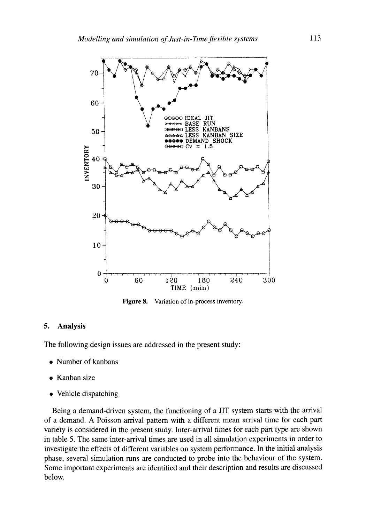

**Figure** 8. Variation of in-process inventory.

#### **5. Analysis**

The following design issues are addressed in the present study:

- Number of kanbans
- . Kanban size
- Vehicle dispatching

Being a demand-driven system, the functioning of a JIT system starts with the arrival of a demand. A Poisson arrival pattern with a different mean arrival time for each part variety is considered in the present study. Inter-arrival times for each part type are shown in table 5. The same inter-arrival times are used in all simulation experiments in order to investigate the effects of different variables on system performance. In the initial analysis phase, several simulation runs are conducted to probe into the behaviour of the system. Some important experiments are identified and their description and results are discussed below.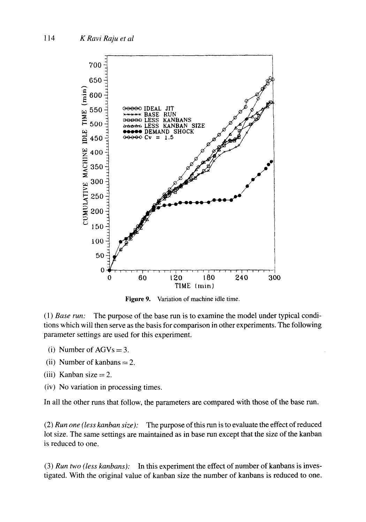

Figure 9. Variation of machine idle time.

*(1) Base run:* The purpose of the base run is to examine the model under typical conditions which will then serve as the basis for comparison in other experiments. The following parameter settings are used for this experiment.

- (i) Number of  $AGVs = 3$ .
- (ii) Number of kanbans  $= 2$ .
- (iii) Kanban size  $= 2$ .
- (iv) No variation in processing times.

In all the other runs that follow, the parameters are compared with those of the base run.

(2) *Run one (less kanban size):* The purpose of this run is to evaluate the effect of reduced lot size. The same settings are maintained as in base run except that the size of the kanban is reduced to one.

(3) *Run two (less kanbans):* In this experiment the effect of number of kanbans is investigated. With the original value of kanban size the number of kanbans is reduced to one.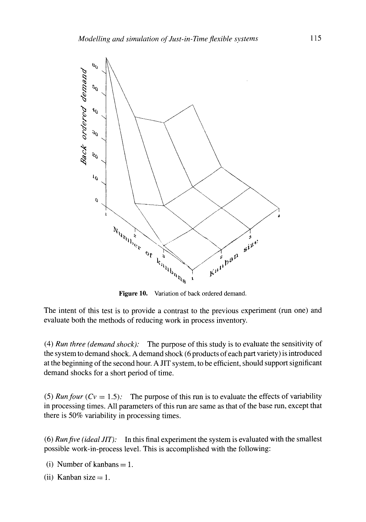

Figure 10. Variation of back ordered demand.

The intent of this test is to provide a contrast to the previous experiment (run one) and evaluate both the methods of reducing work in process inventory.

(4) *Run three (demand shock):* The purpose of this study is to evaluate the sensitivity of the system to demand shock. A demand shock (6 products of each part variety) is introduced at the beginning of the second hour. A JIT system, to be efficient, should support significant demand shocks for a short period of time.

(5) *Run four*  $(Cv = 1.5)$ : The purpose of this run is to evaluate the effects of variability in processing times. All parameters of this run are same as that of the base run, except that there is 50% variability in processing times.

(6) *Runfive (ideal JIT):* In this final experiment the system is evaluated with the smallest possible work-in-process level. This is accomplished with the following:

(i) Number of kanbans  $= 1$ .

(ii) Kanban size  $= 1$ .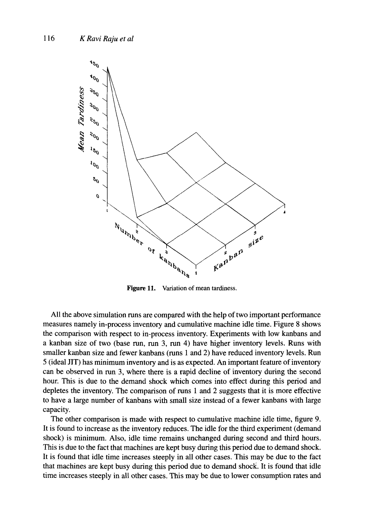

Figure 11. Variation of mean tardiness.

All the above simulation runs are compared with the help of two important performance measures namely in-process inventory and cumulative machine idle time. Figure 8 shows the comparison with respect to in-process inventory. Experiments with low kanbans and a kanban size of two (base run, run 3, run 4) have higher inventory levels. Runs with smaller kanban size and fewer kanbans (runs 1 and 2) have reduced inventory levels. Run 5 (ideal JIT) has minimum inventory and is as expected. An important feature of inventory can be observed in run 3, where there is a rapid decline of inventory during the second hour. This is due to the demand shock which comes into effect during this period and depletes the inventory. The comparison of runs 1 and 2 suggests that it is more effective to have a large number of kanbans with small size instead of a fewer kanbans with large capacity.

The other comparison is made with respect to cumulative machine idle time, figure 9. It is found to increase as the inventory reduces. The idle for the third experiment (demand shock) is minimum. Also, idle time remains unchanged during second and third hours. This is due to the fact that machines are kept busy during this period due to demand shock. It is found that idle time increases steeply in all other cases. This may be due to the fact that machines are kept busy during this period due to demand shock. It is found that idle time increases steeply in all other cases. This may be due to lower consumption rates and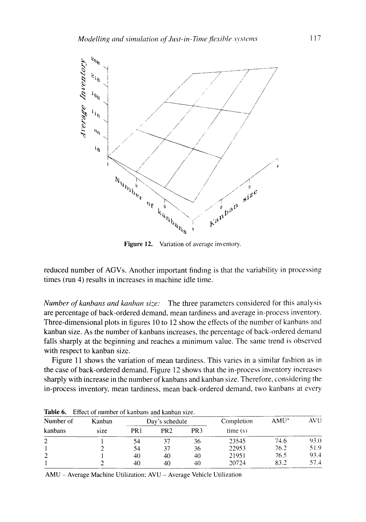

Figure 12. Variation of average inventory.

reduced number of AGVs. Another important finding is that the variability in processing times (run 4) results in increases in machine idle time.

*Number ofkanbans and kanban size:* The three parameters considered for this analysis are percentage of back-ordered demand, mean tardiness and average in-process inventory. Three-dimensional plots in figures 10 to 12 show the effects of the number of kanbans and kanban size. As the number of kanbans increases, the percentage of back-ordered demand falls sharply at the beginning and reaches a minimum value. The same trend is observed with respect to kanban size,

Figure 11 shows the variation of mean tardiness. This varies in a similar fashion as in the case of back-ordered demand. Figure 12 shows that the in-process inventory increases sharply with increase in the number of kanbans and kanban size. Therefore, considering the in-process inventory, mean tardiness, mean back-ordered demand, two kanbans at every

| Number of | Kanban |      | Day's schedule  |                 | Completion | $AMU^*$ | AVU  |
|-----------|--------|------|-----------------|-----------------|------------|---------|------|
| kanbans   | size   | PR 1 | PR <sub>2</sub> | PR <sub>3</sub> | time(s)    |         |      |
| 2         |        | 54   |                 | 36              | 23545      | 74.6    | 93.0 |
|           |        | 54   |                 | 36              | 22953      | 76.2    | 51.9 |
| -         |        | 40   | 40              | 40              | 21951      | 76.5    | 93.4 |
|           |        | 40   | 40              | 40              | 20724      | 83.2    | 57.4 |

Table 6. Effect of number of kanbans and kanban size.

AMU - Average Machine Utilization; AVU - Average Vehicle Utilization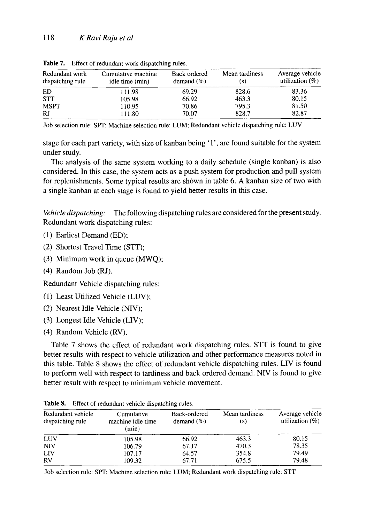| Redundant work<br>dispatching rule | Cumulative machine<br>idle time (min) | <b>Back ordered</b><br>demand $(\%)$ | Mean tardiness<br>(S) | Average vehicle<br>utilization $(\%)$ |  |
|------------------------------------|---------------------------------------|--------------------------------------|-----------------------|---------------------------------------|--|
| ED                                 | 111.98                                | 69.29                                | 828.6                 | 83.36                                 |  |
| <b>STT</b>                         | 105.98                                | 66.92                                | 463.3                 | 80.15                                 |  |
| <b>MSPT</b>                        | 110.95                                | 70.86                                | 795.3                 | 81.50                                 |  |
| <b>RJ</b>                          | 111.80                                | 70.07                                | 828.7                 | 82.87                                 |  |

Table 7. Effect of redundant work dispatching rules.

Job selection rule: SPT; Machine selection rule: LUM; Redundant vehicle dispatching rule: LUV

stage for each part variety, with size of kanban being '1', are found suitable for the system under study.

The analysis of the same system working to a daily schedule (single kanban) is also considered. In this case, the system acts as a push system for production and pull system for replenishments. Some typical results are shown in table 6. A kanban size of two with a single kanban at each stage is found to yield better results in this case.

*Vehicle dispatching:* The following dispatching rules are considered for the present study. Redundant work dispatching rules:

- (1) Earliest Demand (ED):
- (2) Shortest Travel Time (STT);
- (3) Minimum work in queue (MWQ);
- $(4)$  Random Job  $(RJ)$ .

Redundant Vehicle dispatching rules:

- (1) Least Utilized Vehicle (LUV);
- (2) Nearest Idle Vehicle (NIV);
- (3) Longest Idle Vehicle (LIV);
- (4) Random Vehicle (RV).

Table 7 shows the effect of redundant work dispatching rules. STT is found to give better results with respect to vehicle utilization and other performance measures noted in this table. Table 8 shows the effect of redundant vehicle dispatching rules. LIV is found to perform well with respect to tardiness and back ordered demand. NIV is found to give better result with respect to minimum vehicle movement.

| Redundant vehicle<br>dispatching rule | Cumulative<br>machine idle time<br>(min) | Back-ordered<br>demand $(\% )$ | Mean tardiness<br>(s) | Average vehicle<br>utilization $(\%)$ |
|---------------------------------------|------------------------------------------|--------------------------------|-----------------------|---------------------------------------|
| LUV                                   | 105.98                                   | 66.92                          | 463.3                 | 80.15                                 |
| <b>NIV</b>                            | 106.79                                   | 67.17                          | 470.3                 | 78.35                                 |
| LIV                                   | 107.17                                   | 64.57                          | 354.8                 | 79.49                                 |
| RV                                    | 109.32                                   | 67.71                          | 675.5                 | 79.48                                 |

**Table** 8. Effect of redundant vehicle dispatching rules.

Job selection rule: SPT; Machine selection rule: LUM; Redundant work dispatching rule: STT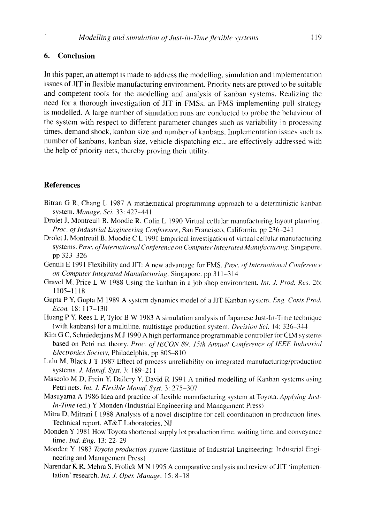#### **6. Conclusion**

In this paper, an attempt is made to address the modelling, simulation and implementation issues of JIT in flexible manufacturing environment. Priority nets are proved to be suitable and competent tools for the modelling and analysis of kanban systems. Realizing the need for a thorough investigation of JIT in FMSs, an FMS implementing pull strategy is modelled. A large number of simulation runs are conducted to probe the behaviour of the system with respect to different parameter changes such as variability in processing times, demand shock, kanban size and number of kanbans. Implementation issues such as number of kanbans, kanban size, vehicle dispatching etc., are effectively addressed with the help of priority nets, thereby proving their utility.

#### **References**

- Bitran G R, Chang L 1987 A mathematical programming approach to a deterministic kanban system. *Manage. Sci.* 33:427-441
- Drolet J, Montreuil B, Moodie R, Colin L 1990 Virtual cellular manufacturing layout planning. *Proc. oflndustrial Engineering ConJerence,* San Francisco, California, pp 236-241
- Drolet J, Montreuil B, Moodie C L 1991 Empirical investigation of virtual cellular manufacturing systems. *Proc. of International Conference on Computer Integrated Manufacturing*, Singapore, pp 323-326
- Gentili E 1991 Flexibility and JIT: A new advantage for FMS. Proc. of International Conference *on Computer Integrated Manufacturing,* Singapore. pp 311--314
- Gravel M, Price L W 1988 Using the kanban in a job shop environment, *lnt. J. Prod. Res.* 26: **1105-1118**
- Gupta P Y, Gupta M 1989 A system dynamics model of a JIT-Kanban system. *Eng. Costs Prod. Econ.* 18: 117-130
- Huang P Y, Rees L P, Tylor B W 1983 A simulation analysis of Japanese Just-In-Time technique (with kanbans) for a multiline, multistage production system. *Decision Sci.* 14:326-344
- Kim G C, Schniederjans M J 1990 A high performance programmable controller for CIM systems based on Petri net theory. Proc. of IECON 89, 15th Annual Conference of IEEE Industrial *Electronics Society*, Philadelphia, pp 805-810
- Lulu M, Black J T 1987 Effect of process unreliability on integrated manufacturing/production systems. *J. Manuf. Syst.* 3: 189-211
- Mascolo M D, Frein Y, Dallery Y, David R 199l A unified modelling of Kanban systems using Petri nets. Int. J. Flexible Manuf. Syst. 3: 275-307
- Masuyama A 1986 Idea and practice of flexible manufacturing system at Toyota. *Applying Just-In-Time* (ed.) Y Monden (Industrial Engineering and Management Press)
- Mitra D, Mitrani I 1988 Analysis of a novel discipline for cell coordination in production lines. Technical report, AT&T Laboratories, NJ
- Monden Y 1981 How Toyota shortened supply lot production time, waiting time, and conveyance time. *Ind. Eng.* 13: 22-29
- Monden Y 1983 *Toyota production system* (Institute of Industrial Engineering: Industrial Engineering and Management Press)
- Narendar K R, Mehra S, Frolick M N 1995 A comparative analysis and review of JIT 'implementation' research. *Int. J. Oper. Manage.* 15: 8-18